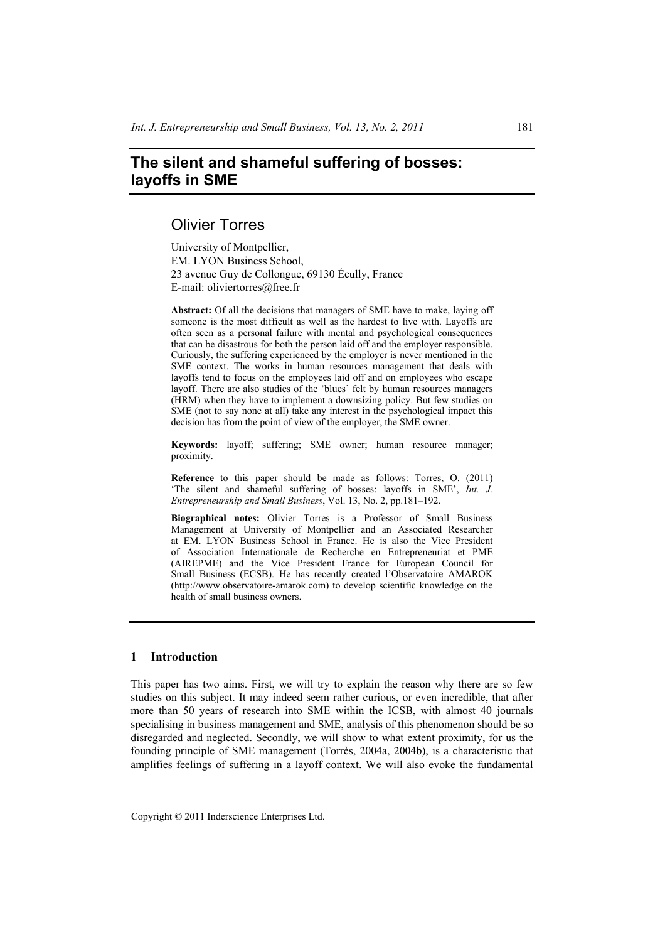# **The silent and shameful suffering of bosses: layoffs in SME**

# Olivier Torres

University of Montpellier, EM. LYON Business School, 23 avenue Guy de Collongue, 69130 Écully, France E-mail: oliviertorres@free.fr

**Abstract:** Of all the decisions that managers of SME have to make, laying off someone is the most difficult as well as the hardest to live with. Layoffs are often seen as a personal failure with mental and psychological consequences that can be disastrous for both the person laid off and the employer responsible. Curiously, the suffering experienced by the employer is never mentioned in the SME context. The works in human resources management that deals with layoffs tend to focus on the employees laid off and on employees who escape layoff. There are also studies of the 'blues' felt by human resources managers (HRM) when they have to implement a downsizing policy. But few studies on SME (not to say none at all) take any interest in the psychological impact this decision has from the point of view of the employer, the SME owner.

**Keywords:** layoff; suffering; SME owner; human resource manager; proximity.

**Reference** to this paper should be made as follows: Torres, O. (2011) 'The silent and shameful suffering of bosses: layoffs in SME', *Int. J. Entrepreneurship and Small Business*, Vol. 13, No. 2, pp.181–192.

**Biographical notes:** Olivier Torres is a Professor of Small Business Management at University of Montpellier and an Associated Researcher at EM. LYON Business School in France. He is also the Vice President of Association Internationale de Recherche en Entrepreneuriat et PME (AIREPME) and the Vice President France for European Council for Small Business (ECSB). He has recently created l'Observatoire AMAROK (http://www.observatoire-amarok.com) to develop scientific knowledge on the health of small business owners.

# **1 Introduction**

This paper has two aims. First, we will try to explain the reason why there are so few studies on this subject. It may indeed seem rather curious, or even incredible, that after more than 50 years of research into SME within the ICSB, with almost 40 journals specialising in business management and SME, analysis of this phenomenon should be so disregarded and neglected. Secondly, we will show to what extent proximity, for us the founding principle of SME management (Torrès, 2004a, 2004b), is a characteristic that amplifies feelings of suffering in a layoff context. We will also evoke the fundamental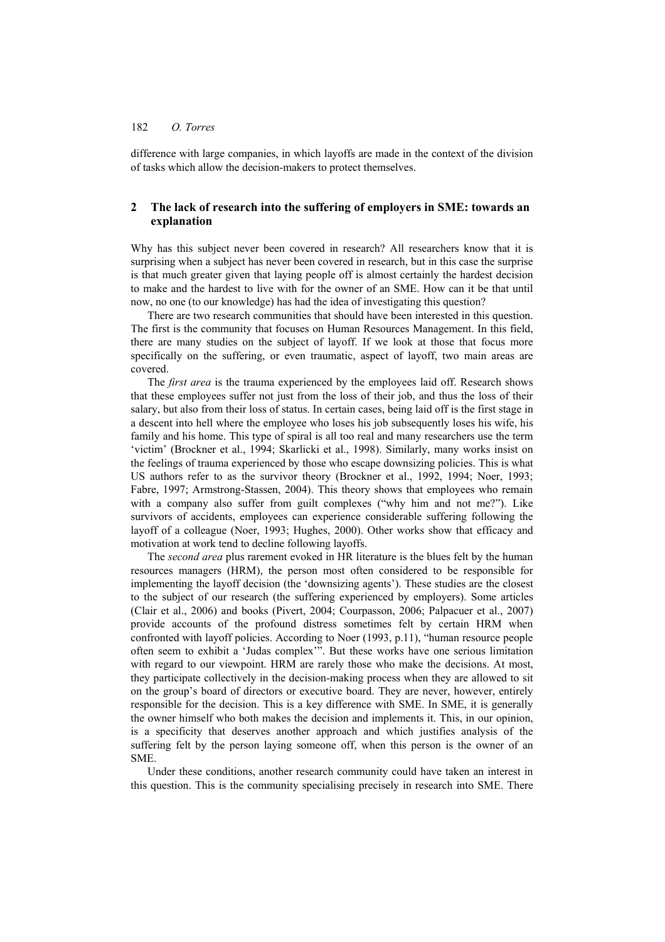difference with large companies, in which layoffs are made in the context of the division of tasks which allow the decision-makers to protect themselves.

### **2 The lack of research into the suffering of employers in SME: towards an explanation**

Why has this subject never been covered in research? All researchers know that it is surprising when a subject has never been covered in research, but in this case the surprise is that much greater given that laying people off is almost certainly the hardest decision to make and the hardest to live with for the owner of an SME. How can it be that until now, no one (to our knowledge) has had the idea of investigating this question?

There are two research communities that should have been interested in this question. The first is the community that focuses on Human Resources Management. In this field, there are many studies on the subject of layoff. If we look at those that focus more specifically on the suffering, or even traumatic, aspect of layoff, two main areas are covered.

The *first area* is the trauma experienced by the employees laid off. Research shows that these employees suffer not just from the loss of their job, and thus the loss of their salary, but also from their loss of status. In certain cases, being laid off is the first stage in a descent into hell where the employee who loses his job subsequently loses his wife, his family and his home. This type of spiral is all too real and many researchers use the term 'victim' (Brockner et al., 1994; Skarlicki et al., 1998). Similarly, many works insist on the feelings of trauma experienced by those who escape downsizing policies. This is what US authors refer to as the survivor theory (Brockner et al., 1992, 1994; Noer, 1993; Fabre, 1997; Armstrong-Stassen, 2004). This theory shows that employees who remain with a company also suffer from guilt complexes ("why him and not me?"). Like survivors of accidents, employees can experience considerable suffering following the layoff of a colleague (Noer, 1993; Hughes, 2000). Other works show that efficacy and motivation at work tend to decline following layoffs.

The *second area* plus rarement evoked in HR literature is the blues felt by the human resources managers (HRM), the person most often considered to be responsible for implementing the layoff decision (the 'downsizing agents'). These studies are the closest to the subject of our research (the suffering experienced by employers). Some articles (Clair et al., 2006) and books (Pivert, 2004; Courpasson, 2006; Palpacuer et al., 2007) provide accounts of the profound distress sometimes felt by certain HRM when confronted with layoff policies. According to Noer (1993, p.11), "human resource people often seem to exhibit a 'Judas complex'". But these works have one serious limitation with regard to our viewpoint. HRM are rarely those who make the decisions. At most, they participate collectively in the decision-making process when they are allowed to sit on the group's board of directors or executive board. They are never, however, entirely responsible for the decision. This is a key difference with SME. In SME, it is generally the owner himself who both makes the decision and implements it. This, in our opinion, is a specificity that deserves another approach and which justifies analysis of the suffering felt by the person laying someone off, when this person is the owner of an SME.

Under these conditions, another research community could have taken an interest in this question. This is the community specialising precisely in research into SME. There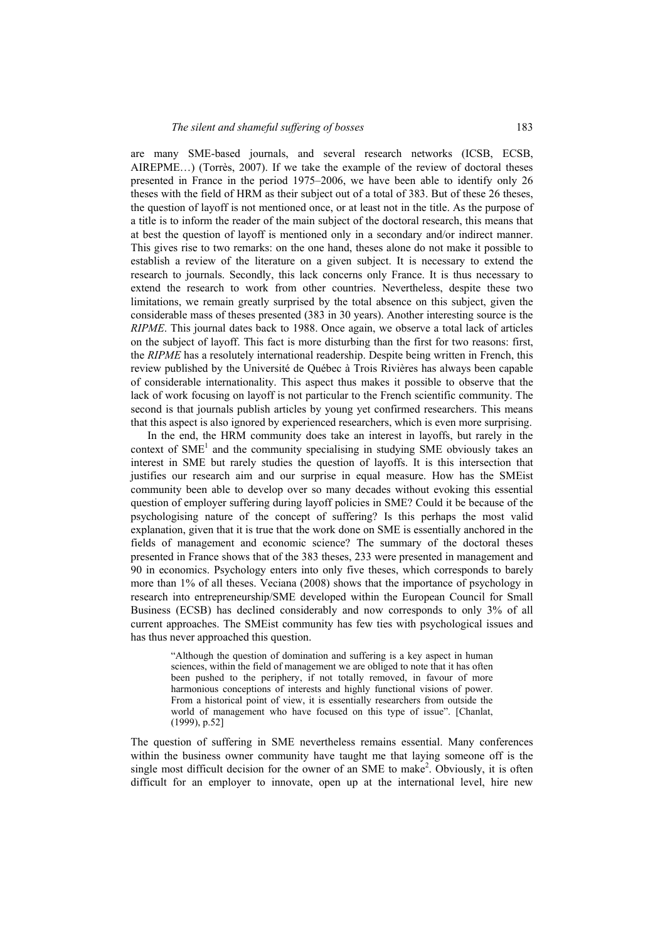are many SME-based journals, and several research networks (ICSB, ECSB, AIREPME…) (Torrès, 2007). If we take the example of the review of doctoral theses presented in France in the period 1975–2006, we have been able to identify only 26 theses with the field of HRM as their subject out of a total of 383. But of these 26 theses, the question of layoff is not mentioned once, or at least not in the title. As the purpose of a title is to inform the reader of the main subject of the doctoral research, this means that at best the question of layoff is mentioned only in a secondary and/or indirect manner. This gives rise to two remarks: on the one hand, theses alone do not make it possible to establish a review of the literature on a given subject. It is necessary to extend the research to journals. Secondly, this lack concerns only France. It is thus necessary to extend the research to work from other countries. Nevertheless, despite these two limitations, we remain greatly surprised by the total absence on this subject, given the considerable mass of theses presented (383 in 30 years). Another interesting source is the *RIPME*. This journal dates back to 1988. Once again, we observe a total lack of articles on the subject of layoff. This fact is more disturbing than the first for two reasons: first, the *RIPME* has a resolutely international readership. Despite being written in French, this review published by the Université de Québec à Trois Rivières has always been capable of considerable internationality. This aspect thus makes it possible to observe that the lack of work focusing on layoff is not particular to the French scientific community. The second is that journals publish articles by young yet confirmed researchers. This means that this aspect is also ignored by experienced researchers, which is even more surprising.

In the end, the HRM community does take an interest in layoffs, but rarely in the context of  $SME<sup>1</sup>$  and the community specialising in studying SME obviously takes an interest in SME but rarely studies the question of layoffs. It is this intersection that justifies our research aim and our surprise in equal measure. How has the SMEist community been able to develop over so many decades without evoking this essential question of employer suffering during layoff policies in SME? Could it be because of the psychologising nature of the concept of suffering? Is this perhaps the most valid explanation, given that it is true that the work done on SME is essentially anchored in the fields of management and economic science? The summary of the doctoral theses presented in France shows that of the 383 theses, 233 were presented in management and 90 in economics. Psychology enters into only five theses, which corresponds to barely more than 1% of all theses. Veciana (2008) shows that the importance of psychology in research into entrepreneurship/SME developed within the European Council for Small Business (ECSB) has declined considerably and now corresponds to only 3% of all current approaches. The SMEist community has few ties with psychological issues and has thus never approached this question.

> "Although the question of domination and suffering is a key aspect in human sciences, within the field of management we are obliged to note that it has often been pushed to the periphery, if not totally removed, in favour of more harmonious conceptions of interests and highly functional visions of power. From a historical point of view, it is essentially researchers from outside the world of management who have focused on this type of issue". [Chanlat, (1999), p.52]

The question of suffering in SME nevertheless remains essential. Many conferences within the business owner community have taught me that laying someone off is the single most difficult decision for the owner of an SME to make<sup>2</sup>. Obviously, it is often difficult for an employer to innovate, open up at the international level, hire new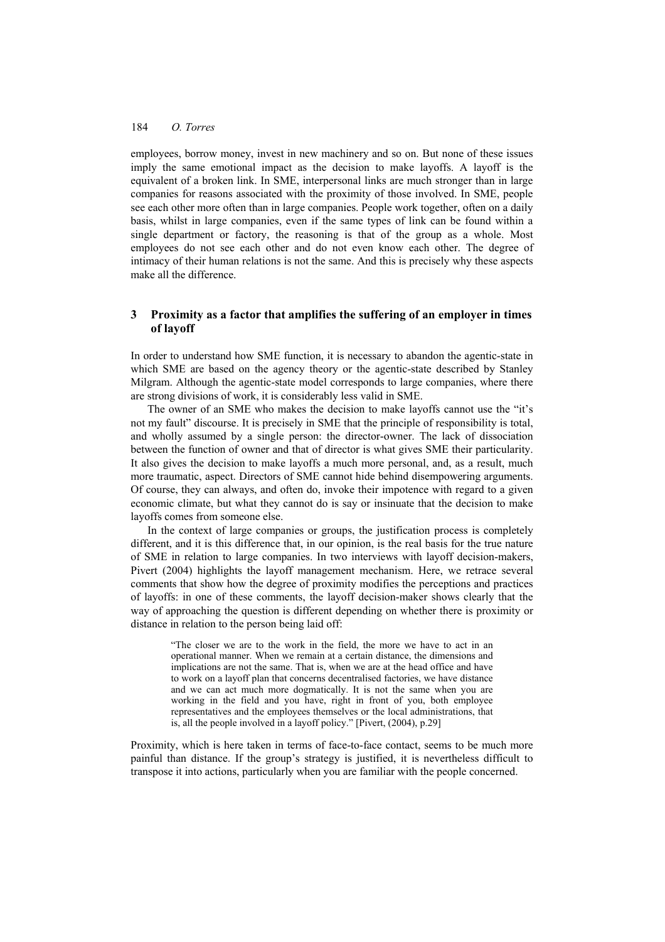employees, borrow money, invest in new machinery and so on. But none of these issues imply the same emotional impact as the decision to make layoffs. A layoff is the equivalent of a broken link. In SME, interpersonal links are much stronger than in large companies for reasons associated with the proximity of those involved. In SME, people see each other more often than in large companies. People work together, often on a daily basis, whilst in large companies, even if the same types of link can be found within a single department or factory, the reasoning is that of the group as a whole. Most employees do not see each other and do not even know each other. The degree of intimacy of their human relations is not the same. And this is precisely why these aspects make all the difference.

## **3 Proximity as a factor that amplifies the suffering of an employer in times of layoff**

In order to understand how SME function, it is necessary to abandon the agentic-state in which SME are based on the agency theory or the agentic-state described by Stanley Milgram. Although the agentic-state model corresponds to large companies, where there are strong divisions of work, it is considerably less valid in SME.

The owner of an SME who makes the decision to make layoffs cannot use the "it's not my fault" discourse. It is precisely in SME that the principle of responsibility is total, and wholly assumed by a single person: the director-owner. The lack of dissociation between the function of owner and that of director is what gives SME their particularity. It also gives the decision to make layoffs a much more personal, and, as a result, much more traumatic, aspect. Directors of SME cannot hide behind disempowering arguments. Of course, they can always, and often do, invoke their impotence with regard to a given economic climate, but what they cannot do is say or insinuate that the decision to make layoffs comes from someone else.

In the context of large companies or groups, the justification process is completely different, and it is this difference that, in our opinion, is the real basis for the true nature of SME in relation to large companies. In two interviews with layoff decision-makers, Pivert (2004) highlights the layoff management mechanism. Here, we retrace several comments that show how the degree of proximity modifies the perceptions and practices of layoffs: in one of these comments, the layoff decision-maker shows clearly that the way of approaching the question is different depending on whether there is proximity or distance in relation to the person being laid off:

"The closer we are to the work in the field, the more we have to act in an operational manner. When we remain at a certain distance, the dimensions and implications are not the same. That is, when we are at the head office and have to work on a layoff plan that concerns decentralised factories, we have distance and we can act much more dogmatically. It is not the same when you are working in the field and you have, right in front of you, both employee representatives and the employees themselves or the local administrations, that is, all the people involved in a layoff policy." [Pivert, (2004), p.29]

Proximity, which is here taken in terms of face-to-face contact, seems to be much more painful than distance. If the group's strategy is justified, it is nevertheless difficult to transpose it into actions, particularly when you are familiar with the people concerned.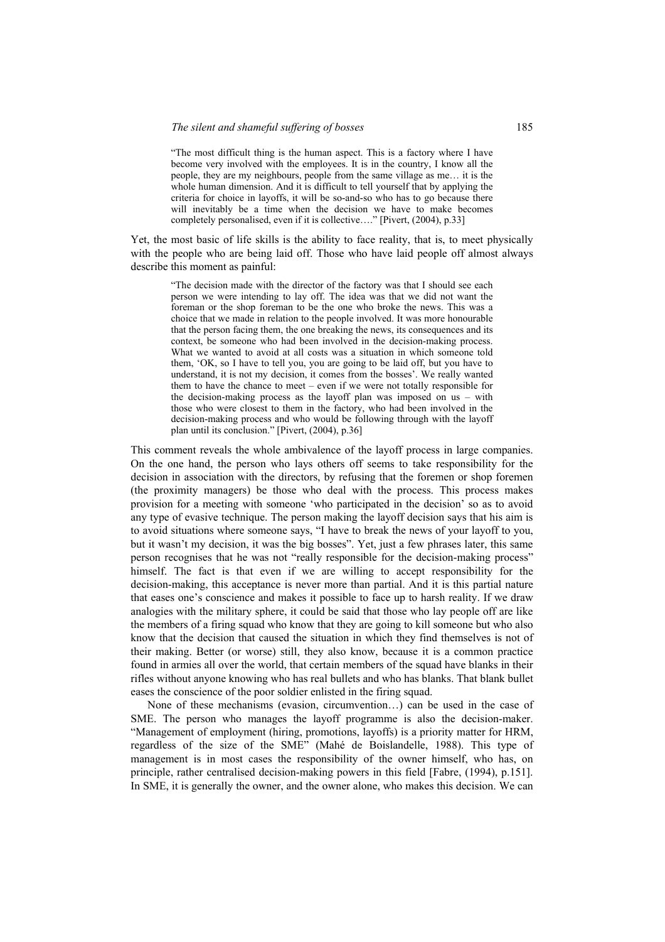"The most difficult thing is the human aspect. This is a factory where I have become very involved with the employees. It is in the country, I know all the people, they are my neighbours, people from the same village as me… it is the whole human dimension. And it is difficult to tell yourself that by applying the criteria for choice in layoffs, it will be so-and-so who has to go because there will inevitably be a time when the decision we have to make becomes completely personalised, even if it is collective…." [Pivert, (2004), p.33]

Yet, the most basic of life skills is the ability to face reality, that is, to meet physically with the people who are being laid off. Those who have laid people off almost always describe this moment as painful:

"The decision made with the director of the factory was that I should see each person we were intending to lay off. The idea was that we did not want the foreman or the shop foreman to be the one who broke the news. This was a choice that we made in relation to the people involved. It was more honourable that the person facing them, the one breaking the news, its consequences and its context, be someone who had been involved in the decision-making process. What we wanted to avoid at all costs was a situation in which someone told them, 'OK, so I have to tell you, you are going to be laid off, but you have to understand, it is not my decision, it comes from the bosses'. We really wanted them to have the chance to meet – even if we were not totally responsible for the decision-making process as the layoff plan was imposed on us – with those who were closest to them in the factory, who had been involved in the decision-making process and who would be following through with the layoff plan until its conclusion." [Pivert, (2004), p.36]

This comment reveals the whole ambivalence of the layoff process in large companies. On the one hand, the person who lays others off seems to take responsibility for the decision in association with the directors, by refusing that the foremen or shop foremen (the proximity managers) be those who deal with the process. This process makes provision for a meeting with someone 'who participated in the decision' so as to avoid any type of evasive technique. The person making the layoff decision says that his aim is to avoid situations where someone says, "I have to break the news of your layoff to you, but it wasn't my decision, it was the big bosses". Yet, just a few phrases later, this same person recognises that he was not "really responsible for the decision-making process" himself. The fact is that even if we are willing to accept responsibility for the decision-making, this acceptance is never more than partial. And it is this partial nature that eases one's conscience and makes it possible to face up to harsh reality. If we draw analogies with the military sphere, it could be said that those who lay people off are like the members of a firing squad who know that they are going to kill someone but who also know that the decision that caused the situation in which they find themselves is not of their making. Better (or worse) still, they also know, because it is a common practice found in armies all over the world, that certain members of the squad have blanks in their rifles without anyone knowing who has real bullets and who has blanks. That blank bullet eases the conscience of the poor soldier enlisted in the firing squad.

None of these mechanisms (evasion, circumvention…) can be used in the case of SME. The person who manages the layoff programme is also the decision-maker. "Management of employment (hiring, promotions, layoffs) is a priority matter for HRM, regardless of the size of the SME" (Mahé de Boislandelle, 1988). This type of management is in most cases the responsibility of the owner himself, who has, on principle, rather centralised decision-making powers in this field [Fabre, (1994), p.151]. In SME, it is generally the owner, and the owner alone, who makes this decision. We can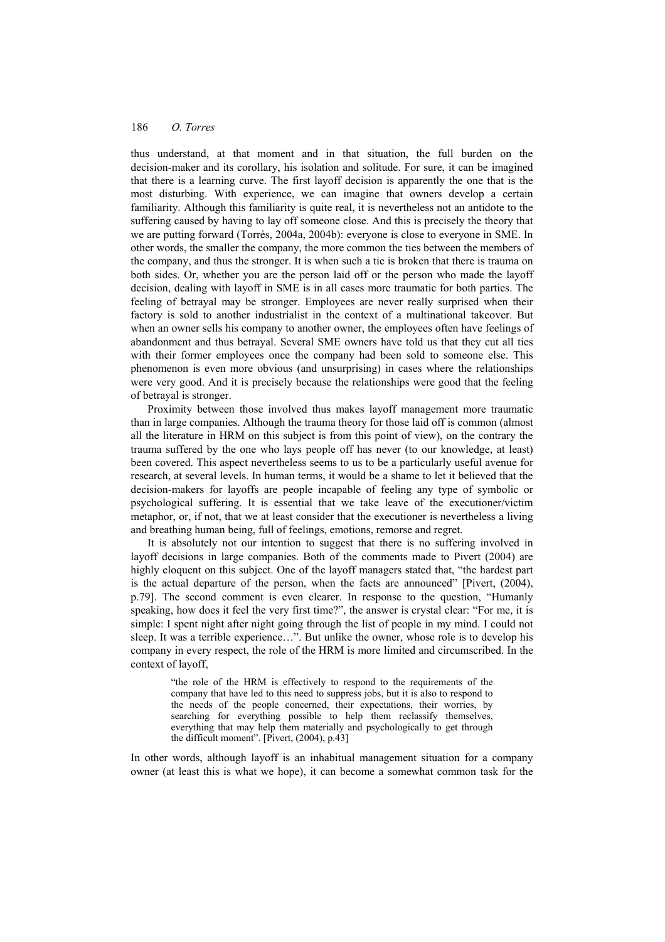thus understand, at that moment and in that situation, the full burden on the decision-maker and its corollary, his isolation and solitude. For sure, it can be imagined that there is a learning curve. The first layoff decision is apparently the one that is the most disturbing. With experience, we can imagine that owners develop a certain familiarity. Although this familiarity is quite real, it is nevertheless not an antidote to the suffering caused by having to lay off someone close. And this is precisely the theory that we are putting forward (Torrès, 2004a, 2004b): everyone is close to everyone in SME. In other words, the smaller the company, the more common the ties between the members of the company, and thus the stronger. It is when such a tie is broken that there is trauma on both sides. Or, whether you are the person laid off or the person who made the layoff decision, dealing with layoff in SME is in all cases more traumatic for both parties. The feeling of betrayal may be stronger. Employees are never really surprised when their factory is sold to another industrialist in the context of a multinational takeover. But when an owner sells his company to another owner, the employees often have feelings of abandonment and thus betrayal. Several SME owners have told us that they cut all ties with their former employees once the company had been sold to someone else. This phenomenon is even more obvious (and unsurprising) in cases where the relationships were very good. And it is precisely because the relationships were good that the feeling of betrayal is stronger.

Proximity between those involved thus makes layoff management more traumatic than in large companies. Although the trauma theory for those laid off is common (almost all the literature in HRM on this subject is from this point of view), on the contrary the trauma suffered by the one who lays people off has never (to our knowledge, at least) been covered. This aspect nevertheless seems to us to be a particularly useful avenue for research, at several levels. In human terms, it would be a shame to let it believed that the decision-makers for layoffs are people incapable of feeling any type of symbolic or psychological suffering. It is essential that we take leave of the executioner/victim metaphor, or, if not, that we at least consider that the executioner is nevertheless a living and breathing human being, full of feelings, emotions, remorse and regret.

It is absolutely not our intention to suggest that there is no suffering involved in layoff decisions in large companies. Both of the comments made to Pivert (2004) are highly eloquent on this subject. One of the layoff managers stated that, "the hardest part is the actual departure of the person, when the facts are announced" [Pivert, (2004), p.79]. The second comment is even clearer. In response to the question, "Humanly speaking, how does it feel the very first time?", the answer is crystal clear: "For me, it is simple: I spent night after night going through the list of people in my mind. I could not sleep. It was a terrible experience…". But unlike the owner, whose role is to develop his company in every respect, the role of the HRM is more limited and circumscribed. In the context of layoff,

"the role of the HRM is effectively to respond to the requirements of the company that have led to this need to suppress jobs, but it is also to respond to the needs of the people concerned, their expectations, their worries, by searching for everything possible to help them reclassify themselves, everything that may help them materially and psychologically to get through the difficult moment". [Pivert, (2004), p.43]

In other words, although layoff is an inhabitual management situation for a company owner (at least this is what we hope), it can become a somewhat common task for the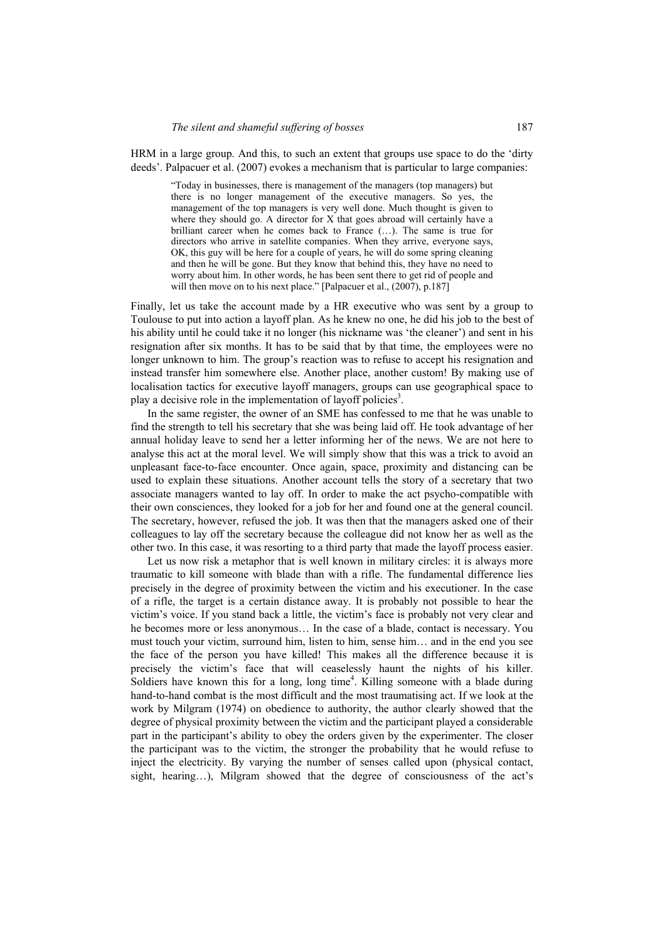HRM in a large group. And this, to such an extent that groups use space to do the 'dirty deeds'. Palpacuer et al. (2007) evokes a mechanism that is particular to large companies:

"Today in businesses, there is management of the managers (top managers) but there is no longer management of the executive managers. So yes, the management of the top managers is very well done. Much thought is given to where they should go. A director for X that goes abroad will certainly have a brilliant career when he comes back to France (…). The same is true for directors who arrive in satellite companies. When they arrive, everyone says, OK, this guy will be here for a couple of years, he will do some spring cleaning and then he will be gone. But they know that behind this, they have no need to worry about him. In other words, he has been sent there to get rid of people and will then move on to his next place." [Palpacuer et al., (2007), p.187]

Finally, let us take the account made by a HR executive who was sent by a group to Toulouse to put into action a layoff plan. As he knew no one, he did his job to the best of his ability until he could take it no longer (his nickname was 'the cleaner') and sent in his resignation after six months. It has to be said that by that time, the employees were no longer unknown to him. The group's reaction was to refuse to accept his resignation and instead transfer him somewhere else. Another place, another custom! By making use of localisation tactics for executive layoff managers, groups can use geographical space to play a decisive role in the implementation of layoff policies<sup>3</sup>.

In the same register, the owner of an SME has confessed to me that he was unable to find the strength to tell his secretary that she was being laid off. He took advantage of her annual holiday leave to send her a letter informing her of the news. We are not here to analyse this act at the moral level. We will simply show that this was a trick to avoid an unpleasant face-to-face encounter. Once again, space, proximity and distancing can be used to explain these situations. Another account tells the story of a secretary that two associate managers wanted to lay off. In order to make the act psycho-compatible with their own consciences, they looked for a job for her and found one at the general council. The secretary, however, refused the job. It was then that the managers asked one of their colleagues to lay off the secretary because the colleague did not know her as well as the other two. In this case, it was resorting to a third party that made the layoff process easier.

Let us now risk a metaphor that is well known in military circles: it is always more traumatic to kill someone with blade than with a rifle. The fundamental difference lies precisely in the degree of proximity between the victim and his executioner. In the case of a rifle, the target is a certain distance away. It is probably not possible to hear the victim's voice. If you stand back a little, the victim's face is probably not very clear and he becomes more or less anonymous… In the case of a blade, contact is necessary. You must touch your victim, surround him, listen to him, sense him… and in the end you see the face of the person you have killed! This makes all the difference because it is precisely the victim's face that will ceaselessly haunt the nights of his killer. Soldiers have known this for a long, long time<sup>4</sup>. Killing someone with a blade during hand-to-hand combat is the most difficult and the most traumatising act. If we look at the work by Milgram (1974) on obedience to authority, the author clearly showed that the degree of physical proximity between the victim and the participant played a considerable part in the participant's ability to obey the orders given by the experimenter. The closer the participant was to the victim, the stronger the probability that he would refuse to inject the electricity. By varying the number of senses called upon (physical contact, sight, hearing…), Milgram showed that the degree of consciousness of the act's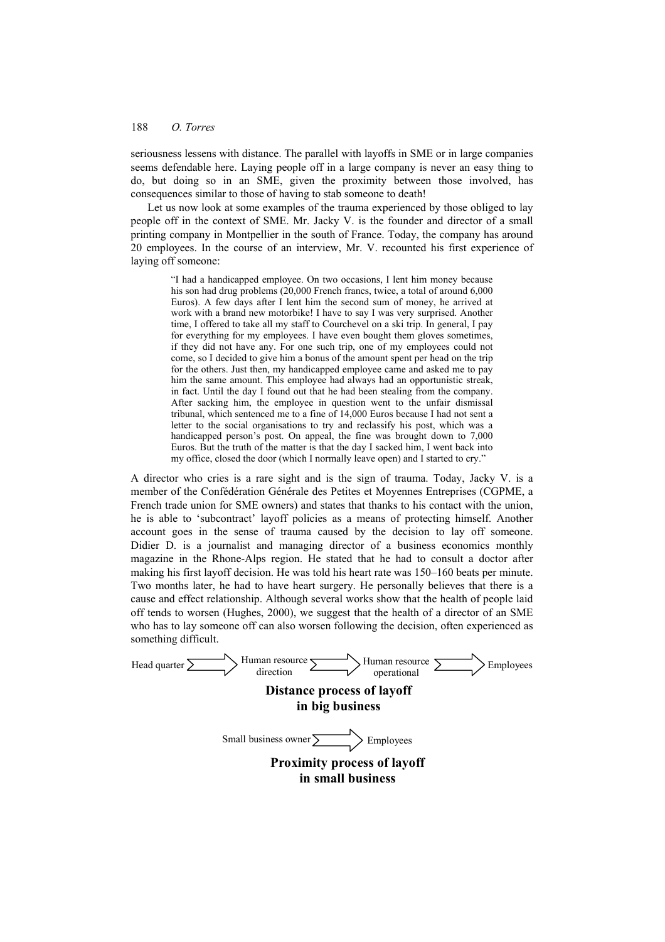seriousness lessens with distance. The parallel with layoffs in SME or in large companies seems defendable here. Laying people off in a large company is never an easy thing to do, but doing so in an SME, given the proximity between those involved, has consequences similar to those of having to stab someone to death!

Let us now look at some examples of the trauma experienced by those obliged to lay people off in the context of SME. Mr. Jacky V. is the founder and director of a small printing company in Montpellier in the south of France. Today, the company has around 20 employees. In the course of an interview, Mr. V. recounted his first experience of laying off someone:

"I had a handicapped employee. On two occasions, I lent him money because his son had drug problems (20,000 French francs, twice, a total of around 6,000 Euros). A few days after I lent him the second sum of money, he arrived at work with a brand new motorbike! I have to say I was very surprised. Another time, I offered to take all my staff to Courchevel on a ski trip. In general, I pay for everything for my employees. I have even bought them gloves sometimes, if they did not have any. For one such trip, one of my employees could not come, so I decided to give him a bonus of the amount spent per head on the trip for the others. Just then, my handicapped employee came and asked me to pay him the same amount. This employee had always had an opportunistic streak, in fact. Until the day I found out that he had been stealing from the company. After sacking him, the employee in question went to the unfair dismissal tribunal, which sentenced me to a fine of 14,000 Euros because I had not sent a letter to the social organisations to try and reclassify his post, which was a handicapped person's post. On appeal, the fine was brought down to 7,000 Euros. But the truth of the matter is that the day I sacked him, I went back into my office, closed the door (which I normally leave open) and I started to cry."

A director who cries is a rare sight and is the sign of trauma. Today, Jacky V. is a member of the Confédération Générale des Petites et Moyennes Entreprises (CGPME, a French trade union for SME owners) and states that thanks to his contact with the union, he is able to 'subcontract' layoff policies as a means of protecting himself. Another account goes in the sense of trauma caused by the decision to lay off someone. Didier D. is a journalist and managing director of a business economics monthly magazine in the Rhone-Alps region. He stated that he had to consult a doctor after making his first layoff decision. He was told his heart rate was 150–160 beats per minute. Two months later, he had to have heart surgery. He personally believes that there is a cause and effect relationship. Although several works show that the health of people laid off tends to worsen (Hughes, 2000), we suggest that the health of a director of an SME who has to lay someone off can also worsen following the decision, often experienced as something difficult.

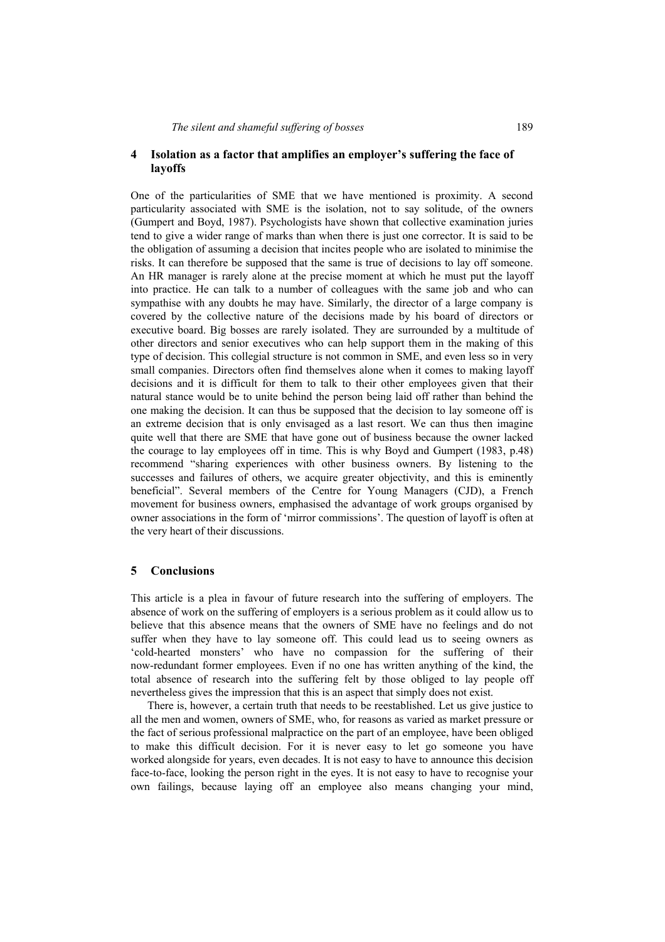#### **4 Isolation as a factor that amplifies an employer's suffering the face of layoffs**

One of the particularities of SME that we have mentioned is proximity. A second particularity associated with SME is the isolation, not to say solitude, of the owners (Gumpert and Boyd, 1987). Psychologists have shown that collective examination juries tend to give a wider range of marks than when there is just one corrector. It is said to be the obligation of assuming a decision that incites people who are isolated to minimise the risks. It can therefore be supposed that the same is true of decisions to lay off someone. An HR manager is rarely alone at the precise moment at which he must put the layoff into practice. He can talk to a number of colleagues with the same job and who can sympathise with any doubts he may have. Similarly, the director of a large company is covered by the collective nature of the decisions made by his board of directors or executive board. Big bosses are rarely isolated. They are surrounded by a multitude of other directors and senior executives who can help support them in the making of this type of decision. This collegial structure is not common in SME, and even less so in very small companies. Directors often find themselves alone when it comes to making layoff decisions and it is difficult for them to talk to their other employees given that their natural stance would be to unite behind the person being laid off rather than behind the one making the decision. It can thus be supposed that the decision to lay someone off is an extreme decision that is only envisaged as a last resort. We can thus then imagine quite well that there are SME that have gone out of business because the owner lacked the courage to lay employees off in time. This is why Boyd and Gumpert (1983, p.48) recommend "sharing experiences with other business owners. By listening to the successes and failures of others, we acquire greater objectivity, and this is eminently beneficial". Several members of the Centre for Young Managers (CJD), a French movement for business owners, emphasised the advantage of work groups organised by owner associations in the form of 'mirror commissions'. The question of layoff is often at the very heart of their discussions.

#### **5 Conclusions**

This article is a plea in favour of future research into the suffering of employers. The absence of work on the suffering of employers is a serious problem as it could allow us to believe that this absence means that the owners of SME have no feelings and do not suffer when they have to lay someone off. This could lead us to seeing owners as 'cold-hearted monsters' who have no compassion for the suffering of their now-redundant former employees. Even if no one has written anything of the kind, the total absence of research into the suffering felt by those obliged to lay people off nevertheless gives the impression that this is an aspect that simply does not exist.

There is, however, a certain truth that needs to be reestablished. Let us give justice to all the men and women, owners of SME, who, for reasons as varied as market pressure or the fact of serious professional malpractice on the part of an employee, have been obliged to make this difficult decision. For it is never easy to let go someone you have worked alongside for years, even decades. It is not easy to have to announce this decision face-to-face, looking the person right in the eyes. It is not easy to have to recognise your own failings, because laying off an employee also means changing your mind,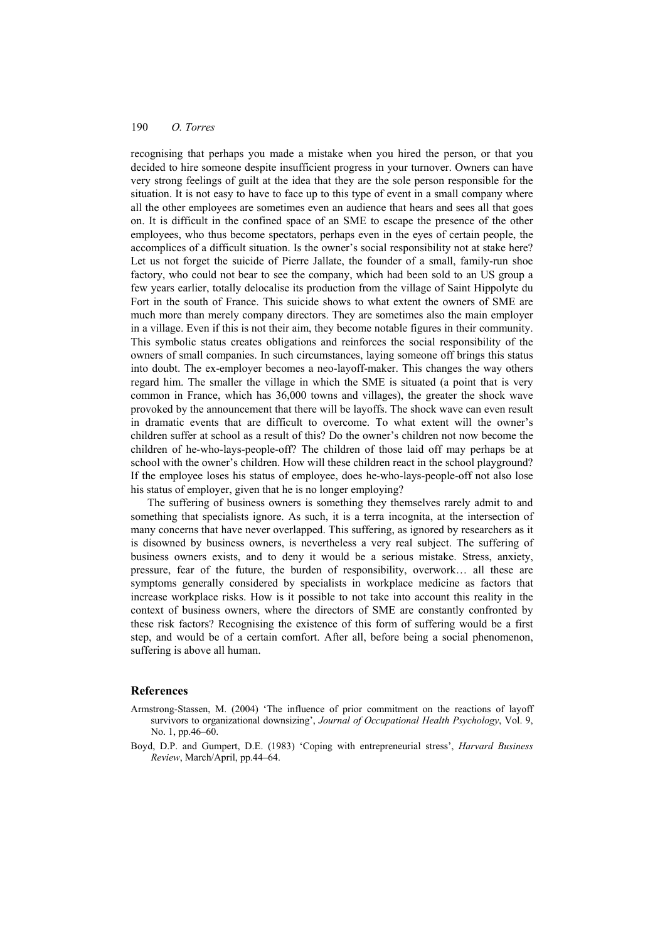recognising that perhaps you made a mistake when you hired the person, or that you decided to hire someone despite insufficient progress in your turnover. Owners can have very strong feelings of guilt at the idea that they are the sole person responsible for the situation. It is not easy to have to face up to this type of event in a small company where all the other employees are sometimes even an audience that hears and sees all that goes on. It is difficult in the confined space of an SME to escape the presence of the other employees, who thus become spectators, perhaps even in the eyes of certain people, the accomplices of a difficult situation. Is the owner's social responsibility not at stake here? Let us not forget the suicide of Pierre Jallate, the founder of a small, family-run shoe factory, who could not bear to see the company, which had been sold to an US group a few years earlier, totally delocalise its production from the village of Saint Hippolyte du Fort in the south of France. This suicide shows to what extent the owners of SME are much more than merely company directors. They are sometimes also the main employer in a village. Even if this is not their aim, they become notable figures in their community. This symbolic status creates obligations and reinforces the social responsibility of the owners of small companies. In such circumstances, laying someone off brings this status into doubt. The ex-employer becomes a neo-layoff-maker. This changes the way others regard him. The smaller the village in which the SME is situated (a point that is very common in France, which has 36,000 towns and villages), the greater the shock wave provoked by the announcement that there will be layoffs. The shock wave can even result in dramatic events that are difficult to overcome. To what extent will the owner's children suffer at school as a result of this? Do the owner's children not now become the children of he-who-lays-people-off? The children of those laid off may perhaps be at school with the owner's children. How will these children react in the school playground? If the employee loses his status of employee, does he-who-lays-people-off not also lose his status of employer, given that he is no longer employing?

The suffering of business owners is something they themselves rarely admit to and something that specialists ignore. As such, it is a terra incognita, at the intersection of many concerns that have never overlapped. This suffering, as ignored by researchers as it is disowned by business owners, is nevertheless a very real subject. The suffering of business owners exists, and to deny it would be a serious mistake. Stress, anxiety, pressure, fear of the future, the burden of responsibility, overwork… all these are symptoms generally considered by specialists in workplace medicine as factors that increase workplace risks. How is it possible to not take into account this reality in the context of business owners, where the directors of SME are constantly confronted by these risk factors? Recognising the existence of this form of suffering would be a first step, and would be of a certain comfort. After all, before being a social phenomenon, suffering is above all human.

#### **References**

- Armstrong-Stassen, M. (2004) 'The influence of prior commitment on the reactions of layoff survivors to organizational downsizing', *Journal of Occupational Health Psychology*, Vol. 9, No. 1, pp.46–60.
- Boyd, D.P. and Gumpert, D.E. (1983) 'Coping with entrepreneurial stress', *Harvard Business Review*, March/April, pp.44–64.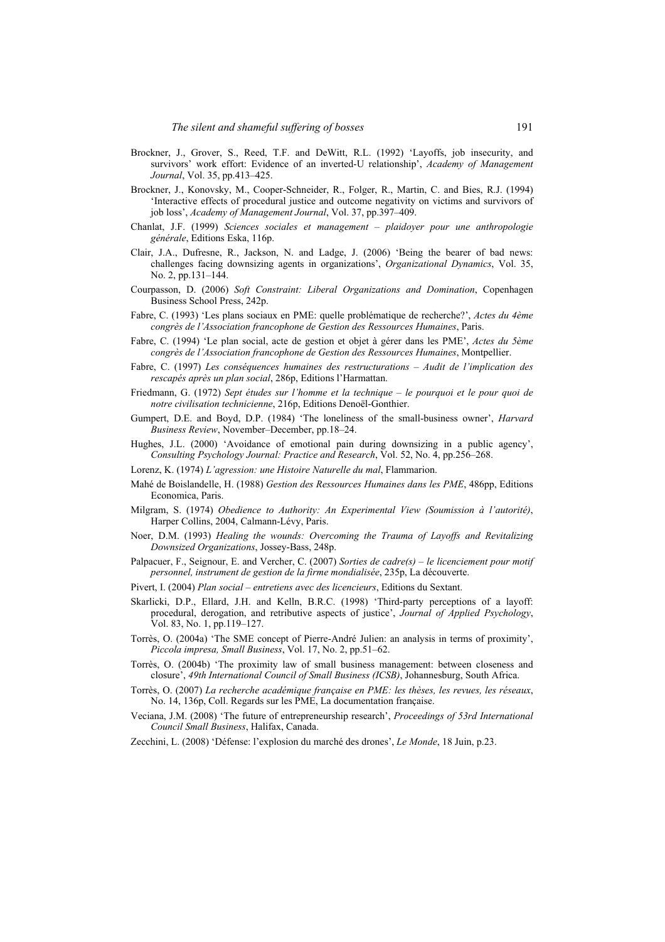- Brockner, J., Grover, S., Reed, T.F. and DeWitt, R.L. (1992) 'Layoffs, job insecurity, and survivors' work effort: Evidence of an inverted-U relationship', *Academy of Management Journal*, Vol. 35, pp.413–425.
- Brockner, J., Konovsky, M., Cooper-Schneider, R., Folger, R., Martin, C. and Bies, R.J. (1994) 'Interactive effects of procedural justice and outcome negativity on victims and survivors of job loss', *Academy of Management Journal*, Vol. 37, pp.397–409.
- Chanlat, J.F. (1999) *Sciences sociales et management plaidoyer pour une anthropologie générale*, Editions Eska, 116p.
- Clair, J.A., Dufresne, R., Jackson, N. and Ladge, J. (2006) 'Being the bearer of bad news: challenges facing downsizing agents in organizations', *Organizational Dynamics*, Vol. 35, No. 2, pp.131–144.
- Courpasson, D. (2006) *Soft Constraint: Liberal Organizations and Domination*, Copenhagen Business School Press, 242p.
- Fabre, C. (1993) 'Les plans sociaux en PME: quelle problématique de recherche?', *Actes du 4ème congrès de l'Association francophone de Gestion des Ressources Humaines*, Paris.
- Fabre, C. (1994) 'Le plan social, acte de gestion et objet à gérer dans les PME', *Actes du 5ème congrès de l'Association francophone de Gestion des Ressources Humaines*, Montpellier.
- Fabre, C. (1997) *Les conséquences humaines des restructurations Audit de l'implication des rescapés après un plan social*, 286p, Editions l'Harmattan.
- Friedmann, G. (1972) *Sept études sur l'homme et la technique le pourquoi et le pour quoi de notre civilisation technicienne*, 216p, Editions Denoël-Gonthier.
- Gumpert, D.E. and Boyd, D.P. (1984) 'The loneliness of the small-business owner', *Harvard Business Review*, November–December, pp.18–24.
- Hughes, J.L. (2000) 'Avoidance of emotional pain during downsizing in a public agency', *Consulting Psychology Journal: Practice and Research*, Vol. 52, No. 4, pp.256–268.
- Lorenz, K. (1974) *L'agression: une Histoire Naturelle du mal*, Flammarion.
- Mahé de Boislandelle, H. (1988) *Gestion des Ressources Humaines dans les PME*, 486pp, Editions Economica, Paris.
- Milgram, S. (1974) *Obedience to Authority: An Experimental View (Soumission à l'autorité)*, Harper Collins, 2004, Calmann-Lévy, Paris.
- Noer, D.M. (1993) *Healing the wounds: Overcoming the Trauma of Layoffs and Revitalizing Downsized Organizations*, Jossey-Bass, 248p.
- Palpacuer, F., Seignour, E. and Vercher, C. (2007) *Sorties de cadre(s) le licenciement pour motif personnel, instrument de gestion de la firme mondialisée*, 235p, La découverte.
- Pivert, I. (2004) *Plan social entretiens avec des licencieurs*, Editions du Sextant.
- Skarlicki, D.P., Ellard, J.H. and Kelln, B.R.C. (1998) 'Third-party perceptions of a layoff: procedural, derogation, and retributive aspects of justice', *Journal of Applied Psychology*, Vol. 83, No. 1, pp.119–127.
- Torrès, O. (2004a) 'The SME concept of Pierre-André Julien: an analysis in terms of proximity', *Piccola impresa, Small Business*, Vol. 17, No. 2, pp.51–62.
- Torrès, O. (2004b) 'The proximity law of small business management: between closeness and closure', *49th International Council of Small Business (ICSB)*, Johannesburg, South Africa.
- Torrès, O. (2007) *La recherche académique française en PME: les thèses, les revues, les réseaux*, No. 14, 136p, Coll. Regards sur les PME, La documentation française.
- Veciana, J.M. (2008) 'The future of entrepreneurship research', *Proceedings of 53rd International Council Small Business*, Halifax, Canada.
- Zecchini, L. (2008) 'Défense: l'explosion du marché des drones', *Le Monde*, 18 Juin, p.23.